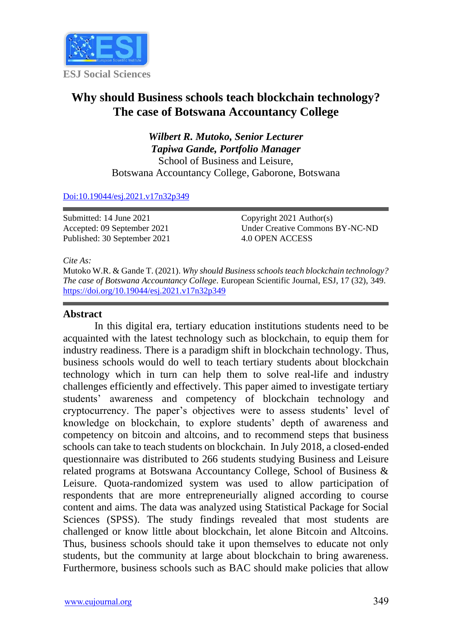

# **Why should Business schools teach blockchain technology? The case of Botswana Accountancy College**

*Wilbert R. Mutoko, Senior Lecturer Tapiwa Gande, Portfolio Manager* School of Business and Leisure, Botswana Accountancy College, Gaborone, Botswana

#### [Doi:10.19044/esj.2021.v17n32p349](https://doi.org/10.19044/esj.2021.v17n32p349)

Submitted: 14 June 2021 Accepted: 09 September 2021 Published: 30 September 2021 Copyright 2021 Author(s) Under Creative Commons BY-NC-ND 4.0 OPEN ACCESS

*Cite As:*

Mutoko W.R. & Gande T. (2021). *Why should Business schools teach blockchain technology? The case of Botswana Accountancy College.* European Scientific Journal, ESJ, 17 (32), 349. <https://doi.org/10.19044/esj.2021.v17n32p349>

#### **Abstract**

In this digital era, tertiary education institutions students need to be acquainted with the latest technology such as blockchain, to equip them for industry readiness. There is a paradigm shift in blockchain technology. Thus, business schools would do well to teach tertiary students about blockchain technology which in turn can help them to solve real-life and industry challenges efficiently and effectively. This paper aimed to investigate tertiary students' awareness and competency of blockchain technology and cryptocurrency. The paper's objectives were to assess students' level of knowledge on blockchain, to explore students' depth of awareness and competency on bitcoin and altcoins, and to recommend steps that business schools can take to teach students on blockchain. In July 2018, a closed-ended questionnaire was distributed to 266 students studying Business and Leisure related programs at Botswana Accountancy College, School of Business & Leisure. Quota-randomized system was used to allow participation of respondents that are more entrepreneurially aligned according to course content and aims. The data was analyzed using Statistical Package for Social Sciences (SPSS). The study findings revealed that most students are challenged or know little about blockchain, let alone Bitcoin and Altcoins. Thus, business schools should take it upon themselves to educate not only students, but the community at large about blockchain to bring awareness. Furthermore, business schools such as BAC should make policies that allow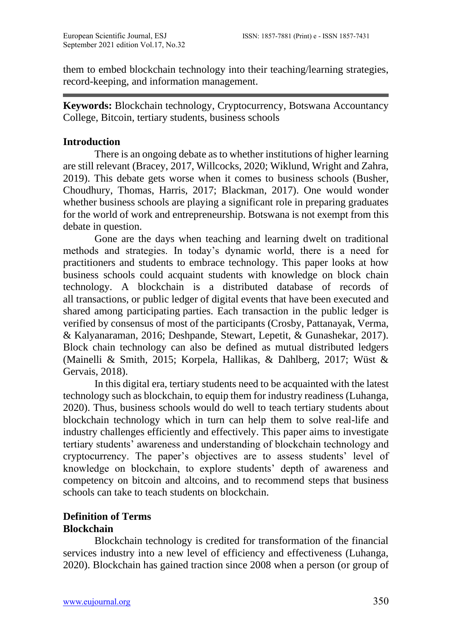them to embed blockchain technology into their teaching/learning strategies, record-keeping, and information management.

**Keywords:** Blockchain technology, Cryptocurrency, Botswana Accountancy College, Bitcoin, tertiary students, business schools

### **Introduction**

There is an ongoing debate as to whether institutions of higher learning are still relevant (Bracey, 2017, Willcocks, 2020; Wiklund, Wright and Zahra, 2019). This debate gets worse when it comes to business schools (Busher, Choudhury, Thomas, Harris, 2017; Blackman, 2017). One would wonder whether business schools are playing a significant role in preparing graduates for the world of work and entrepreneurship. Botswana is not exempt from this debate in question.

Gone are the days when teaching and learning dwelt on traditional methods and strategies. In today's dynamic world, there is a need for practitioners and students to embrace technology. This paper looks at how business schools could acquaint students with knowledge on block chain technology. A blockchain is a distributed database of records of all transactions, or public ledger of digital events that have been executed and shared among participating parties. Each transaction in the public ledger is verified by consensus of most of the participants (Crosby, Pattanayak, Verma, & Kalyanaraman, 2016; Deshpande, Stewart, Lepetit, & Gunashekar, 2017). Block chain technology can also be defined as mutual distributed ledgers (Mainelli & Smith, 2015; Korpela, Hallikas, & Dahlberg, 2017; Wüst & Gervais, 2018).

In this digital era, tertiary students need to be acquainted with the latest technology such as blockchain, to equip them for industry readiness (Luhanga, 2020). Thus, business schools would do well to teach tertiary students about blockchain technology which in turn can help them to solve real-life and industry challenges efficiently and effectively. This paper aims to investigate tertiary students' awareness and understanding of blockchain technology and cryptocurrency. The paper's objectives are to assess students' level of knowledge on blockchain, to explore students' depth of awareness and competency on bitcoin and altcoins, and to recommend steps that business schools can take to teach students on blockchain.

# **Definition of Terms Blockchain**

Blockchain technology is credited for transformation of the financial services industry into a new level of efficiency and effectiveness (Luhanga, 2020). Blockchain has gained traction since 2008 when a person (or group of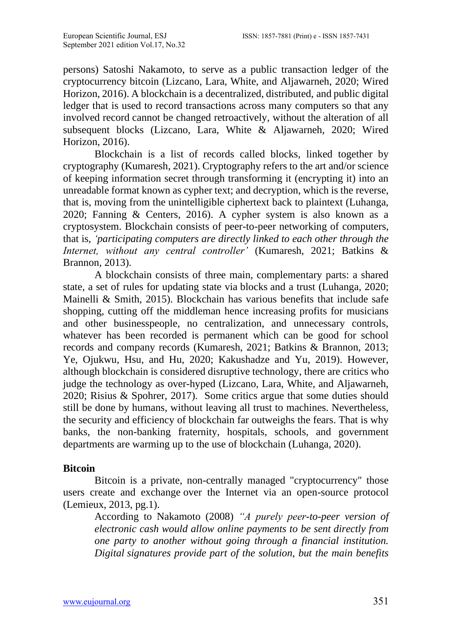persons) Satoshi Nakamoto, to serve as a public transaction ledger of the cryptocurrency bitcoin (Lizcano, Lara, White, and Aljawarneh, 2020; Wired Horizon, 2016). A blockchain is a decentralized, distributed, and public digital ledger that is used to record transactions across many computers so that any involved record cannot be changed retroactively, without the alteration of all subsequent blocks (Lizcano, Lara, White & Aljawarneh, 2020; Wired Horizon, 2016).

Blockchain is a list of records called blocks, linked together by cryptography (Kumaresh, 2021). Cryptography refers to the art and/or science of keeping information secret through transforming it (encrypting it) into an unreadable format known as cypher text; and decryption, which is the reverse, that is, moving from the unintelligible ciphertext back to plaintext (Luhanga, 2020; Fanning & Centers, 2016). A cypher system is also known as a cryptosystem. Blockchain consists of peer-to-peer networking of computers, that is, *'participating computers are directly linked to each other through the Internet, without any central controller'* (Kumaresh, 2021; Batkins & Brannon, 2013).

A blockchain consists of three main, complementary parts: a shared state, a set of rules for updating state via blocks and a trust (Luhanga, 2020; Mainelli & Smith, 2015). Blockchain has various benefits that include safe shopping, cutting off the middleman hence increasing profits for musicians and other businesspeople, no centralization, and unnecessary controls, whatever has been recorded is permanent which can be good for school records and company records (Kumaresh, 2021; Batkins & Brannon, 2013; Ye, Ojukwu, Hsu, and Hu, 2020; Kakushadze and Yu, 2019). However, although blockchain is considered disruptive technology, there are critics who judge the technology as over-hyped (Lizcano, Lara, White, and Aljawarneh, 2020; Risius & Spohrer, 2017). Some critics argue that some duties should still be done by humans, without leaving all trust to machines. Nevertheless, the security and efficiency of blockchain far outweighs the fears. That is why banks, the non-banking fraternity, hospitals, schools, and government departments are warming up to the use of blockchain (Luhanga, 2020).

## **Bitcoin**

Bitcoin is a private, non-centrally managed "cryptocurrency" those users create and exchange over the Internet via an open-source protocol (Lemieux, 2013, pg.1).

According to Nakamoto (2008) *"A purely peer-to-peer version of electronic cash would allow online payments to be sent directly from one party to another without going through a financial institution. Digital signatures provide part of the solution, but the main benefits*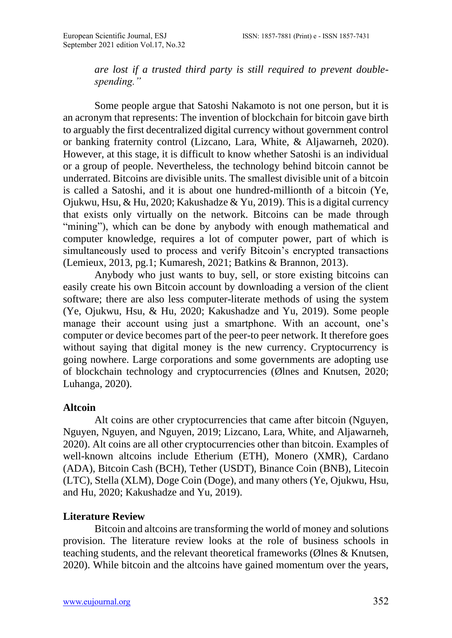*are lost if a trusted third party is still required to prevent doublespending."*

Some people argue that Satoshi Nakamoto is not one person, but it is an acronym that represents: The invention of blockchain for bitcoin gave birth to arguably the first decentralized digital currency without government control or banking fraternity control (Lizcano, Lara, White, & Aljawarneh, 2020). However, at this stage, it is difficult to know whether Satoshi is an individual or a group of people. Nevertheless, the technology behind bitcoin cannot be underrated. Bitcoins are divisible units. The smallest divisible unit of a bitcoin is called a Satoshi, and it is about one hundred-millionth of a bitcoin (Ye, Ojukwu, Hsu, & Hu, 2020; Kakushadze & Yu, 2019). This is a digital currency that exists only virtually on the network. Bitcoins can be made through "mining"), which can be done by anybody with enough mathematical and computer knowledge, requires a lot of computer power, part of which is simultaneously used to process and verify Bitcoin's encrypted transactions (Lemieux, 2013, pg.1; Kumaresh, 2021; Batkins & Brannon, 2013).

Anybody who just wants to buy, sell, or store existing bitcoins can easily create his own Bitcoin account by downloading a version of the client software; there are also less computer-literate methods of using the system (Ye, Ojukwu, Hsu, & Hu, 2020; Kakushadze and Yu, 2019). Some people manage their account using just a smartphone. With an account, one's computer or device becomes part of the peer-to peer network. It therefore goes without saying that digital money is the new currency. Cryptocurrency is going nowhere. Large corporations and some governments are adopting use of blockchain technology and cryptocurrencies (Ølnes and Knutsen, 2020; Luhanga, 2020).

#### **Altcoin**

Alt coins are other cryptocurrencies that came after bitcoin (Nguyen, Nguyen, Nguyen, and Nguyen, 2019; Lizcano, Lara, White, and Aljawarneh, 2020). Alt coins are all other cryptocurrencies other than bitcoin. Examples of well-known altcoins include Etherium (ETH), Monero (XMR), Cardano (ADA), Bitcoin Cash (BCH), Tether (USDT), Binance Coin (BNB), Litecoin (LTC), Stella (XLM), Doge Coin (Doge), and many others (Ye, Ojukwu, Hsu, and Hu, 2020; Kakushadze and Yu, 2019).

## **Literature Review**

Bitcoin and altcoins are transforming the world of money and solutions provision. The literature review looks at the role of business schools in teaching students, and the relevant theoretical frameworks (Ølnes & Knutsen, 2020). While bitcoin and the altcoins have gained momentum over the years,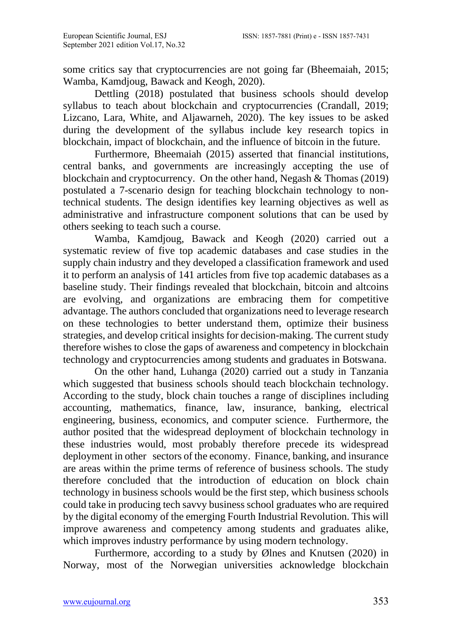some critics say that cryptocurrencies are not going far (Bheemaiah, 2015; Wamba, Kamdjoug, Bawack and Keogh, 2020).

Dettling (2018) postulated that business schools should develop syllabus to teach about blockchain and cryptocurrencies (Crandall, 2019; Lizcano, Lara, White, and Aljawarneh, 2020). The key issues to be asked during the development of the syllabus include key research topics in blockchain, impact of blockchain, and the influence of bitcoin in the future.

Furthermore, Bheemaiah (2015) asserted that financial institutions, central banks, and governments are increasingly accepting the use of blockchain and cryptocurrency. On the other hand, Negash & Thomas (2019) postulated a 7-scenario design for teaching blockchain technology to nontechnical students. The design identifies key learning objectives as well as administrative and infrastructure component solutions that can be used by others seeking to teach such a course.

Wamba, Kamdjoug, Bawack and Keogh (2020) carried out a systematic review of five top academic databases and case studies in the supply chain industry and they developed a classification framework and used it to perform an analysis of 141 articles from five top academic databases as a baseline study. Their findings revealed that blockchain, bitcoin and altcoins are evolving, and organizations are embracing them for competitive advantage. The authors concluded that organizations need to leverage research on these technologies to better understand them, optimize their business strategies, and develop critical insights for decision-making. The current study therefore wishes to close the gaps of awareness and competency in blockchain technology and cryptocurrencies among students and graduates in Botswana.

On the other hand, Luhanga (2020) carried out a study in Tanzania which suggested that business schools should teach blockchain technology. According to the study, block chain touches a range of disciplines including accounting, mathematics, finance, law, insurance, banking, electrical engineering, business, economics, and computer science. Furthermore, the author posited that the widespread deployment of blockchain technology in these industries would, most probably therefore precede its widespread deployment in other sectors of the economy. Finance, banking, and insurance are areas within the prime terms of reference of business schools. The study therefore concluded that the introduction of education on block chain technology in business schools would be the first step, which business schools could take in producing tech savvy business school graduates who are required by the digital economy of the emerging Fourth Industrial Revolution. This will improve awareness and competency among students and graduates alike, which improves industry performance by using modern technology.

Furthermore, according to a study by Ølnes and Knutsen (2020) in Norway, most of the Norwegian universities acknowledge blockchain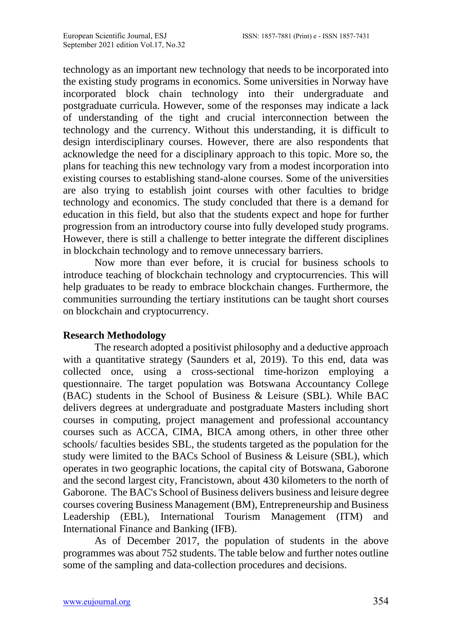technology as an important new technology that needs to be incorporated into the existing study programs in economics. Some universities in Norway have incorporated block chain technology into their undergraduate and postgraduate curricula. However, some of the responses may indicate a lack of understanding of the tight and crucial interconnection between the technology and the currency. Without this understanding, it is difficult to design interdisciplinary courses. However, there are also respondents that acknowledge the need for a disciplinary approach to this topic. More so, the plans for teaching this new technology vary from a modest incorporation into existing courses to establishing stand-alone courses. Some of the universities are also trying to establish joint courses with other faculties to bridge technology and economics. The study concluded that there is a demand for education in this field, but also that the students expect and hope for further progression from an introductory course into fully developed study programs. However, there is still a challenge to better integrate the different disciplines in blockchain technology and to remove unnecessary barriers.

Now more than ever before, it is crucial for business schools to introduce teaching of blockchain technology and cryptocurrencies. This will help graduates to be ready to embrace blockchain changes. Furthermore, the communities surrounding the tertiary institutions can be taught short courses on blockchain and cryptocurrency.

#### **Research Methodology**

The research adopted a positivist philosophy and a deductive approach with a quantitative strategy (Saunders et al, 2019). To this end, data was collected once, using a cross-sectional time-horizon employing a questionnaire. The target population was Botswana Accountancy College (BAC) students in the School of Business & Leisure (SBL). While BAC delivers degrees at undergraduate and postgraduate Masters including short courses in computing, project management and professional accountancy courses such as ACCA, CIMA, BICA among others, in other three other schools/ faculties besides SBL, the students targeted as the population for the study were limited to the BACs School of Business & Leisure (SBL), which operates in two geographic locations, the capital city of Botswana, Gaborone and the second largest city, Francistown, about 430 kilometers to the north of Gaborone. The BAC's School of Business delivers business and leisure degree courses covering Business Management (BM), Entrepreneurship and Business Leadership (EBL), International Tourism Management (ITM) and International Finance and Banking (IFB).

As of December 2017, the population of students in the above programmes was about 752 students. The table below and further notes outline some of the sampling and data-collection procedures and decisions.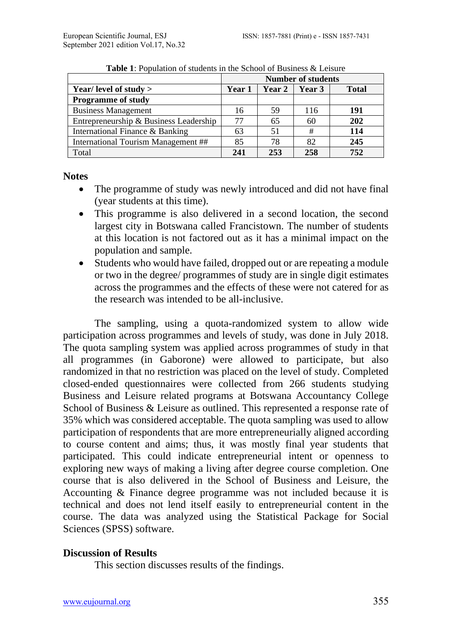|                                        | <b>Number of students</b> |        |        |              |  |
|----------------------------------------|---------------------------|--------|--------|--------------|--|
| Year/ level of study >                 | Year 1                    | Year 2 | Year 3 | <b>Total</b> |  |
| <b>Programme of study</b>              |                           |        |        |              |  |
| <b>Business Management</b>             | 16                        | 59     | 116    | 191          |  |
| Entrepreneurship & Business Leadership | 77                        | 65     | 60     | 202          |  |
| International Finance & Banking        | 63                        | 51     | #      | 114          |  |
| International Tourism Management ##    | 85                        | 78     | 82     | 245          |  |
| Total                                  | 241                       | 253    | 258    | 752          |  |

**Table 1**: Population of students in the School of Business & Leisure

**Notes** 

- The programme of study was newly introduced and did not have final (year students at this time).
- This programme is also delivered in a second location, the second largest city in Botswana called Francistown. The number of students at this location is not factored out as it has a minimal impact on the population and sample.
- Students who would have failed, dropped out or are repeating a module or two in the degree/ programmes of study are in single digit estimates across the programmes and the effects of these were not catered for as the research was intended to be all-inclusive.

The sampling, using a quota-randomized system to allow wide participation across programmes and levels of study, was done in July 2018. The quota sampling system was applied across programmes of study in that all programmes (in Gaborone) were allowed to participate, but also randomized in that no restriction was placed on the level of study. Completed closed-ended questionnaires were collected from 266 students studying Business and Leisure related programs at Botswana Accountancy College School of Business & Leisure as outlined. This represented a response rate of 35% which was considered acceptable. The quota sampling was used to allow participation of respondents that are more entrepreneurially aligned according to course content and aims; thus, it was mostly final year students that participated. This could indicate entrepreneurial intent or openness to exploring new ways of making a living after degree course completion. One course that is also delivered in the School of Business and Leisure, the Accounting & Finance degree programme was not included because it is technical and does not lend itself easily to entrepreneurial content in the course. The data was analyzed using the Statistical Package for Social Sciences (SPSS) software.

# **Discussion of Results**

This section discusses results of the findings.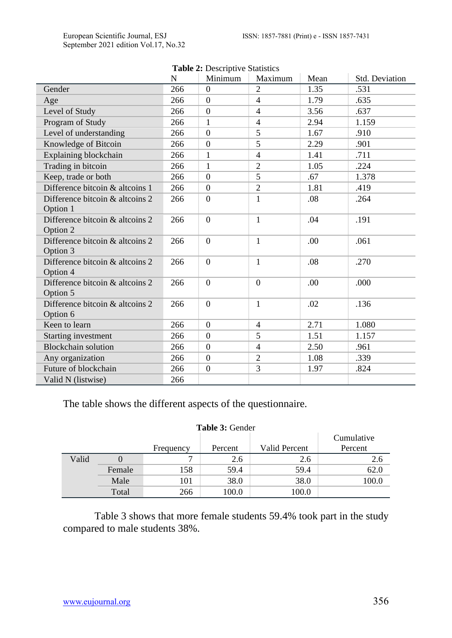| <b>Table 2.</b> Descriptive Statistics<br>Minimum<br>Maximum<br>Mean<br>Std. Deviation<br>N |     |                  |                |      |       |  |  |
|---------------------------------------------------------------------------------------------|-----|------------------|----------------|------|-------|--|--|
| Gender                                                                                      | 266 | $\overline{0}$   | $\overline{2}$ | 1.35 | .531  |  |  |
| Age                                                                                         | 266 | $\Omega$         | 4              | 1.79 | .635  |  |  |
| Level of Study                                                                              | 266 | $\boldsymbol{0}$ | $\overline{4}$ | 3.56 | .637  |  |  |
| Program of Study                                                                            | 266 | 1                | $\overline{4}$ | 2.94 | 1.159 |  |  |
| Level of understanding                                                                      | 266 | $\Omega$         | 5              | 1.67 | .910  |  |  |
| Knowledge of Bitcoin                                                                        | 266 | $\overline{0}$   | 5              | 2.29 | .901  |  |  |
| Explaining blockchain                                                                       | 266 | 1                | $\overline{4}$ | 1.41 | .711  |  |  |
| Trading in bitcoin                                                                          | 266 | 1                | $\overline{2}$ | 1.05 | .224  |  |  |
| Keep, trade or both                                                                         | 266 | $\Omega$         | 5              | .67  | 1.378 |  |  |
| Difference bitcoin & alteoins 1                                                             | 266 | $\Omega$         | $\overline{2}$ | 1.81 | .419  |  |  |
| Difference bitcoin & alteoins 2                                                             | 266 | $\theta$         | 1              | .08  | .264  |  |  |
| Option 1                                                                                    |     |                  |                |      |       |  |  |
| Difference bitcoin & alteoins 2                                                             | 266 | $\theta$         | $\mathbf{1}$   | .04  | .191  |  |  |
| Option 2                                                                                    |     |                  |                |      |       |  |  |
| Difference bitcoin & alteoins 2                                                             | 266 | $\theta$         | $\mathbf{1}$   | .00. | .061  |  |  |
| Option 3                                                                                    |     |                  |                |      |       |  |  |
| Difference bitcoin & alteoins 2                                                             | 266 | $\mathbf{0}$     | $\mathbf{1}$   | .08  | .270  |  |  |
| Option 4                                                                                    |     |                  |                |      |       |  |  |
| Difference bitcoin & alteoins 2                                                             | 266 | $\theta$         | $\Omega$       | .00  | .000  |  |  |
| Option 5                                                                                    |     |                  |                |      |       |  |  |
| Difference bitcoin & alteoins 2                                                             | 266 | $\boldsymbol{0}$ | $\mathbf{1}$   | .02  | .136  |  |  |
| Option 6                                                                                    |     |                  |                |      |       |  |  |
| Keen to learn                                                                               | 266 | $\overline{0}$   | $\overline{4}$ | 2.71 | 1.080 |  |  |
| Starting investment                                                                         | 266 | $\Omega$         | 5              | 1.51 | 1.157 |  |  |
| Blockchain solution                                                                         | 266 | $\Omega$         | $\overline{4}$ | 2.50 | .961  |  |  |
| Any organization                                                                            | 266 | $\mathbf{0}$     | $\mathfrak{2}$ | 1.08 | .339  |  |  |
| Future of blockchain                                                                        | 266 | $\mathbf{0}$     | 3              | 1.97 | .824  |  |  |
| Valid N (listwise)                                                                          | 266 |                  |                |      |       |  |  |

|  | <b>Table 2: Descriptive Statistics</b> |
|--|----------------------------------------|
|--|----------------------------------------|

The table shows the different aspects of the questionnaire.

#### **Table 3:** Gender

| Tanic S. Ochuci |        |           |         |               |            |  |  |
|-----------------|--------|-----------|---------|---------------|------------|--|--|
|                 |        |           |         |               | Cumulative |  |  |
|                 |        | Frequency | Percent | Valid Percent | Percent    |  |  |
| Valid           |        |           | 2.6     | 2.6           | 2.6        |  |  |
|                 | Female | 158       | 59.4    | 59.4          | 62.0       |  |  |
|                 | Male   | 101       | 38.0    | 38.0          | 100.0      |  |  |
|                 | Total  | 266       | 100.0   | 100.0         |            |  |  |

Table 3 shows that more female students 59.4% took part in the study compared to male students 38%.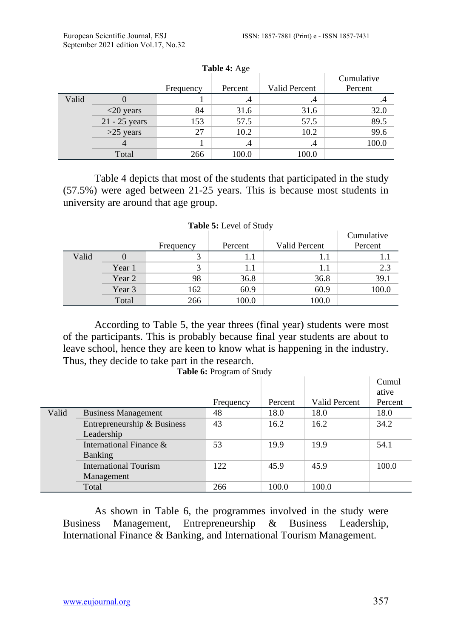|       |               | Frequency | ----- -- ---<br>Percent | Valid Percent | Cumulative<br>Percent |
|-------|---------------|-----------|-------------------------|---------------|-----------------------|
| Valid |               |           | .4                      | .4            | .4                    |
|       | $<$ 20 years  | 84        | 31.6                    | 31.6          | 32.0                  |
|       | 21 - 25 years | 153       | 57.5                    | 57.5          | 89.5                  |
|       | $>25$ years   | 27        | 10.2                    | 10.2          | 99.6                  |
|       |               |           | .4                      | .4            | 100.0                 |
|       | Total         | 266       | 100.0                   | 100.0         |                       |

**Table 4:** Age

Table 4 depicts that most of the students that participated in the study (57.5%) were aged between 21-25 years. This is because most students in university are around that age group.

|       |        |           |         |               | Cumulative |  |  |
|-------|--------|-----------|---------|---------------|------------|--|--|
|       |        | Frequency | Percent | Valid Percent | Percent    |  |  |
| Valid |        |           |         |               |            |  |  |
|       | Year 1 |           |         | 1.1           | 2.3        |  |  |
|       | Year 2 | 98        | 36.8    | 36.8          | 39.1       |  |  |
|       | Year 3 | 162       | 60.9    | 60.9          | 100.0      |  |  |
|       | Total  | 266       | 100.0   | 100.0         |            |  |  |

### **Table 5:** Level of Study

According to Table 5, the year threes (final year) students were most of the participants. This is probably because final year students are about to leave school, hence they are keen to know what is happening in the industry. Thus, they decide to take part in the research.

**Table 6:** Program of Study

|            |                             |           |         |               | Cumul   |
|------------|-----------------------------|-----------|---------|---------------|---------|
|            |                             |           |         |               | ative   |
|            |                             | Frequency | Percent | Valid Percent | Percent |
| Valid      | <b>Business Management</b>  | 48        | 18.0    | 18.0          | 18.0    |
|            | Entrepreneurship & Business | 43        | 16.2    | 16.2          | 34.2    |
| Leadership |                             |           |         |               |         |
|            | International Finance $\&$  | 53        | 19.9    | 19.9          | 54.1    |
|            | <b>Banking</b>              |           |         |               |         |
|            | International Tourism       | 122       | 45.9    | 45.9          | 100.0   |
|            | Management                  |           |         |               |         |
|            | Total                       | 266       | 100.0   | 100.0         |         |

As shown in Table 6, the programmes involved in the study were Business Management, Entrepreneurship & Business Leadership, International Finance & Banking, and International Tourism Management.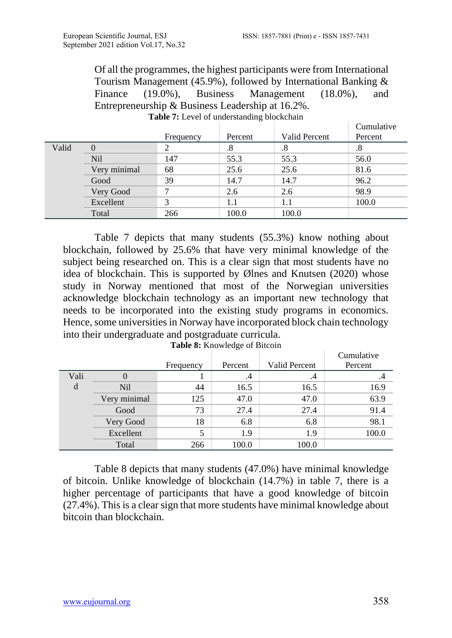$\mid$  Cumulative

Of all the programmes, the highest participants were from International Tourism Management (45.9%), followed by International Banking & Finance (19.0%), Business Management (18.0%), and Entrepreneurship & Business Leadership at 16.2%.

|       |              |           |         |               | <b>Camada</b> |
|-------|--------------|-----------|---------|---------------|---------------|
|       |              | Frequency | Percent | Valid Percent | Percent       |
| Valid |              |           | $.8\,$  |               | .8            |
|       | <b>Nil</b>   | 147       | 55.3    | 55.3          | 56.0          |
|       | Very minimal | 68        | 25.6    | 25.6          | 81.6          |
|       | Good         | 39        | 14.7    | 14.7          | 96.2          |
|       | Very Good    |           | 2.6     | 2.6           | 98.9          |
|       | Excellent    | 2         | 1.1     |               | 100.0         |
|       | Total        | 266       | 100.0   | 100.0         |               |

Table 7: Level of understanding blockchain

Table 7 depicts that many students (55.3%) know nothing about blockchain, followed by 25.6% that have very minimal knowledge of the subject being researched on. This is a clear sign that most students have no idea of blockchain. This is supported by Ølnes and Knutsen (2020) whose study in Norway mentioned that most of the Norwegian universities acknowledge blockchain technology as an important new technology that needs to be incorporated into the existing study programs in economics. Hence, some universities in Norway have incorporated block chain technology into their undergraduate and postgraduate curricula.

|      | <b>THOIC OF IRMOWICGNO OF BROOM</b> |           |         |               |            |  |  |
|------|-------------------------------------|-----------|---------|---------------|------------|--|--|
|      |                                     |           |         |               | Cumulative |  |  |
|      |                                     | Frequency | Percent | Valid Percent | Percent    |  |  |
| Vali |                                     |           | .4      | .4            | .4         |  |  |
| d    | <b>Nil</b>                          | 44        | 16.5    | 16.5          | 16.9       |  |  |
|      | Very minimal                        | 125       | 47.0    | 47.0          | 63.9       |  |  |
|      | Good                                | 73        | 27.4    | 27.4          | 91.4       |  |  |
|      | Very Good                           | 18        | 6.8     | 6.8           | 98.1       |  |  |
|      | Excellent                           | 5         | 1.9     | 1.9           | 100.0      |  |  |
|      | Total                               | 266       | 100.0   | 100.0         |            |  |  |

**Table 8:** Knowledge of Bitcoin

Table 8 depicts that many students (47.0%) have minimal knowledge of bitcoin. Unlike knowledge of blockchain (14.7%) in table 7, there is a higher percentage of participants that have a good knowledge of bitcoin (27.4%). This is a clear sign that more students have minimal knowledge about bitcoin than blockchain.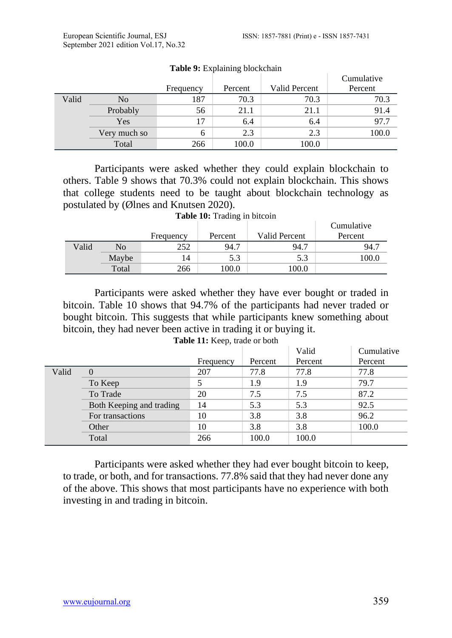|       |                |           |         |               | Cumulative |
|-------|----------------|-----------|---------|---------------|------------|
|       |                | Frequency | Percent | Valid Percent | Percent    |
| Valid | N <sub>o</sub> | 187       | 70.3    | 70.3          | 70.3       |
|       | Probably       | 56        | 21.1    | 21.1          | 91.4       |
|       | Yes            | 17        | 6.4     | 6.4           | 97.7       |
|       | Very much so   | 6         | 2.3     | 2.3           | 100.0      |
|       | Total          | 266       | 100.0   | 100.0         |            |

#### **Table 9:** Explaining blockchain

Participants were asked whether they could explain blockchain to others. Table 9 shows that 70.3% could not explain blockchain. This shows that college students need to be taught about blockchain technology as postulated by (Ølnes and Knutsen 2020).

|  |  | Table 10: Trading in bitcoin |  |  |
|--|--|------------------------------|--|--|
|--|--|------------------------------|--|--|

|       |       |           |         |               | Cumulative |
|-------|-------|-----------|---------|---------------|------------|
|       |       | Frequency | Percent | Valid Percent | Percent    |
| Valid | No    | 252       | 94.7    | 94.7          | 94.7       |
|       | Maybe | 14        | 5.3     | 5.3           | 100.0      |
|       | Total | 266       | .00.0   | 100.0         |            |

Participants were asked whether they have ever bought or traded in bitcoin. Table 10 shows that 94.7% of the participants had never traded or bought bitcoin. This suggests that while participants knew something about bitcoin, they had never been active in trading it or buying it.

|       |                          |           |         | Valid   | Cumulative |
|-------|--------------------------|-----------|---------|---------|------------|
|       |                          | Frequency | Percent | Percent | Percent    |
| Valid |                          |           | 77.8    | 77.8    | 77.8       |
|       | To Keep                  |           | 1.9     | 1.9     | 79.7       |
|       | To Trade                 | 20        | 7.5     | 7.5     | 87.2       |
|       | Both Keeping and trading | 14        | 5.3     | 5.3     | 92.5       |
|       | For transactions         | 10        | 3.8     | 3.8     | 96.2       |
|       | Other                    | 10        | 3.8     | 3.8     | 100.0      |
|       | Total                    | 266       | 100.0   | 100.0   |            |

Participants were asked whether they had ever bought bitcoin to keep, to trade, or both, and for transactions. 77.8% said that they had never done any of the above. This shows that most participants have no experience with both investing in and trading in bitcoin.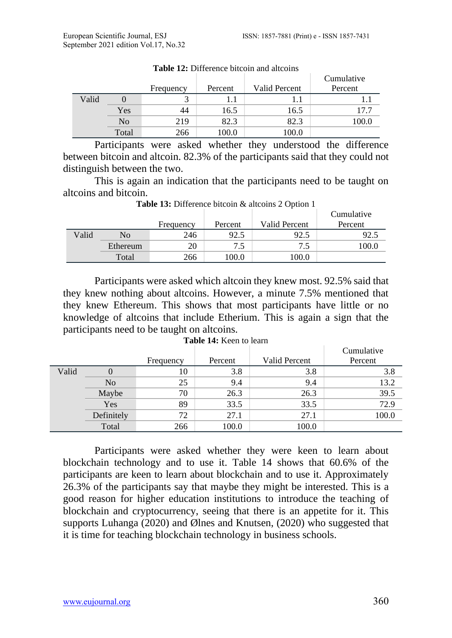|       |       |           |         |               | Cumulative |
|-------|-------|-----------|---------|---------------|------------|
|       |       | Frequency | Percent | Valid Percent | Percent    |
| Valid |       |           |         | 1.1           |            |
|       | Yes   | 44        | 16.5    | 16.5          | 17.7       |
|       | No    | 219       | 82.3    | 82.3          | 100.0      |
|       | Total | 266       | 100.0   | 100.0         |            |

Table 12: Difference bitcoin and altcoins

Participants were asked whether they understood the difference between bitcoin and altcoin. 82.3% of the participants said that they could not distinguish between the two.

This is again an indication that the participants need to be taught on altcoins and bitcoin.

|       |          |           |         | $\overline{\phantom{a}}$ | Cumulative |
|-------|----------|-----------|---------|--------------------------|------------|
|       |          | Frequency | Percent | Valid Percent            | Percent    |
| Valid | No       | 246       | 92.5    | 92.5                     | 92.5       |
|       | Ethereum | 20        | 7.5     | 7.5                      | 100.0      |
|       | Total    | 266       | 100.0   | .00.0                    |            |

**Table 13:** Difference bitcoin & altcoins 2 Option 1

Participants were asked which altcoin they knew most. 92.5% said that they knew nothing about altcoins. However, a minute 7.5% mentioned that they knew Ethereum. This shows that most participants have little or no knowledge of altcoins that include Etherium. This is again a sign that the participants need to be taught on altcoins.

|       |                | Frequency | Percent | Valid Percent | Cumulative<br>Percent |
|-------|----------------|-----------|---------|---------------|-----------------------|
| Valid |                | 10        | 3.8     | 3.8           | 3.8                   |
|       | N <sub>0</sub> | 25        | 9.4     | 9.4           | 13.2                  |
|       | Maybe          | 70        | 26.3    | 26.3          | 39.5                  |
|       | Yes            | 89        | 33.5    | 33.5          | 72.9                  |
|       | Definitely     | 72        | 27.1    | 27.1          | 100.0                 |
|       | Total          | 266       | 100.0   | 100.0         |                       |

**Table 14:** Keen to learn

Participants were asked whether they were keen to learn about blockchain technology and to use it. Table 14 shows that 60.6% of the participants are keen to learn about blockchain and to use it. Approximately 26.3% of the participants say that maybe they might be interested. This is a good reason for higher education institutions to introduce the teaching of blockchain and cryptocurrency, seeing that there is an appetite for it. This supports Luhanga (2020) and Ølnes and Knutsen, (2020) who suggested that it is time for teaching blockchain technology in business schools.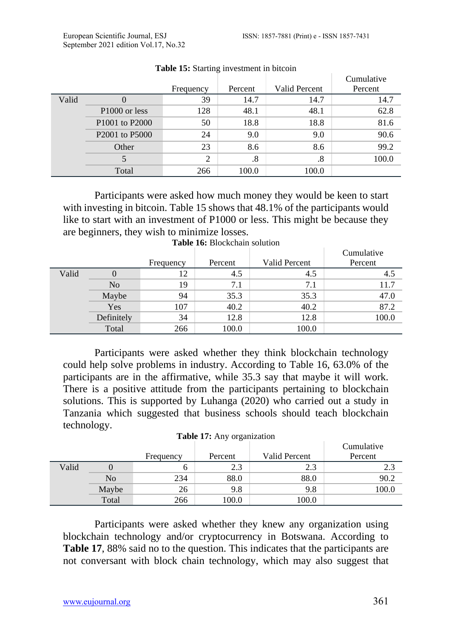$\overline{C}$ 

 $\overline{C}$ 

|       |                                        |                |         |               | Cumulative |
|-------|----------------------------------------|----------------|---------|---------------|------------|
|       |                                        | Frequency      | Percent | Valid Percent | Percent    |
| Valid |                                        | 39             | 14.7    | 14.7          | 14.7       |
|       | P <sub>1000</sub> or less              | 128            | 48.1    | 48.1          | 62.8       |
|       | P <sub>1001</sub> to P <sub>2000</sub> | 50             | 18.8    | 18.8          | 81.6       |
|       | P <sub>2001</sub> to P <sub>5000</sub> | 24             | 9.0     | 9.0           | 90.6       |
|       | Other                                  | 23             | 8.6     | 8.6           | 99.2       |
|       |                                        | $\overline{2}$ | .8      | .8            | 100.0      |
|       | Total                                  | 266            | 100.0   | 100.0         |            |

#### **Table 15:** Starting investment in bitcoin

Participants were asked how much money they would be keen to start with investing in bitcoin. Table 15 shows that 48.1% of the participants would like to start with an investment of P1000 or less. This might be because they are beginners, they wish to minimize losses.

|       |                |           |         |               | Cumulative |
|-------|----------------|-----------|---------|---------------|------------|
|       |                | Frequency | Percent | Valid Percent | Percent    |
| Valid |                | 12        | 4.5     | 4.5           | 4.5        |
|       | N <sub>o</sub> | 19        | 7.1     | 7.1           | 11.7       |
|       | Maybe          | 94        | 35.3    | 35.3          | 47.0       |
|       | Yes            | 107       | 40.2    | 40.2          | 87.2       |
|       | Definitely     | 34        | 12.8    | 12.8          | 100.0      |
|       | Total          | 266       | 100.0   | 100.0         |            |

| <b>Table 16:</b> Blockchain solution |
|--------------------------------------|
|--------------------------------------|

Participants were asked whether they think blockchain technology could help solve problems in industry. According to Table 16, 63.0% of the participants are in the affirmative, while 35.3 say that maybe it will work. There is a positive attitude from the participants pertaining to blockchain solutions. This is supported by Luhanga (2020) who carried out a study in Tanzania which suggested that business schools should teach blockchain technology.

|  |  | Table 17: Any organization |
|--|--|----------------------------|
|  |  |                            |

|       |       |           |         |               | Cumulative |
|-------|-------|-----------|---------|---------------|------------|
|       |       | Frequency | Percent | Valid Percent | Percent    |
| Valid |       |           | 2.3     | n 2<br>د.ء    | 2.3        |
|       | No    | 234       | 88.0    | 88.0          | 90.2       |
|       | Maybe | 26        | 9.8     | 9.8           | 100.0      |
|       | Total | 266       | 100.0   | 100.0         |            |

Participants were asked whether they knew any organization using blockchain technology and/or cryptocurrency in Botswana. According to **Table 17**, 88% said no to the question. This indicates that the participants are not conversant with block chain technology, which may also suggest that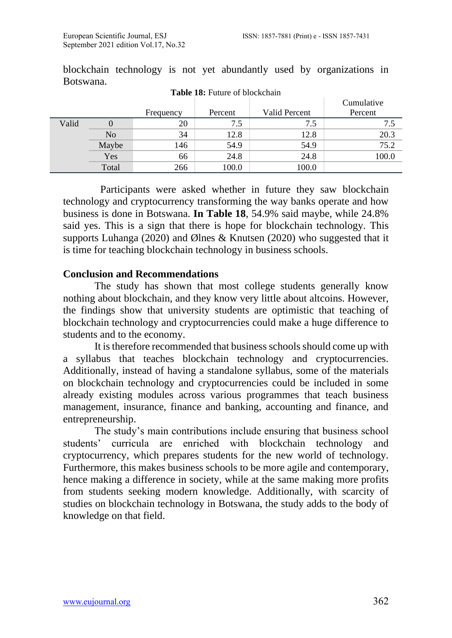|       |                |           |         |               | Cumulative |
|-------|----------------|-----------|---------|---------------|------------|
|       |                | Frequency | Percent | Valid Percent | Percent    |
| Valid |                | 20        | 7.5     | 7.5           | 7.5        |
|       | N <sub>o</sub> | 34        | 12.8    | 12.8          | 20.3       |
|       | Maybe          | 146       | 54.9    | 54.9          | 75.2       |
|       | Yes            | 66        | 24.8    | 24.8          | 100.0      |
|       | Total          | 266       | 100.0   | 100.0         |            |

blockchain technology is not yet abundantly used by organizations in Botswana. **Table 18:** Future of blockchain

 Participants were asked whether in future they saw blockchain technology and cryptocurrency transforming the way banks operate and how business is done in Botswana. **In Table 18**, 54.9% said maybe, while 24.8% said yes. This is a sign that there is hope for blockchain technology. This supports Luhanga (2020) and Ølnes & Knutsen (2020) who suggested that it is time for teaching blockchain technology in business schools.

#### **Conclusion and Recommendations**

The study has shown that most college students generally know nothing about blockchain, and they know very little about altcoins. However, the findings show that university students are optimistic that teaching of blockchain technology and cryptocurrencies could make a huge difference to students and to the economy.

It is therefore recommended that business schools should come up with a syllabus that teaches blockchain technology and cryptocurrencies. Additionally, instead of having a standalone syllabus, some of the materials on blockchain technology and cryptocurrencies could be included in some already existing modules across various programmes that teach business management, insurance, finance and banking, accounting and finance, and entrepreneurship.

The study's main contributions include ensuring that business school students' curricula are enriched with blockchain technology and cryptocurrency, which prepares students for the new world of technology. Furthermore, this makes business schools to be more agile and contemporary, hence making a difference in society, while at the same making more profits from students seeking modern knowledge. Additionally, with scarcity of studies on blockchain technology in Botswana, the study adds to the body of knowledge on that field.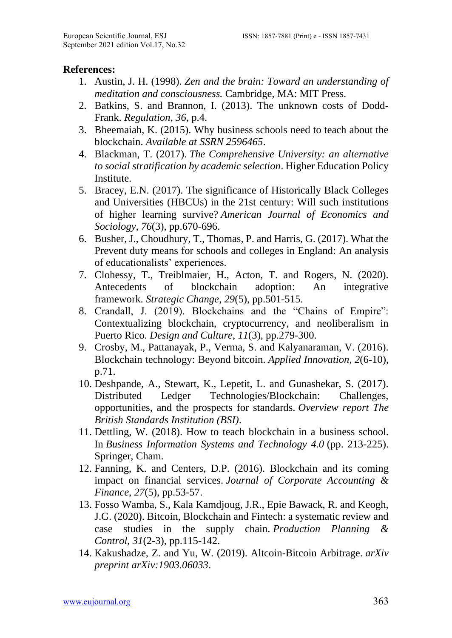#### **References:**

- 1. Austin, J. H. (1998). *Zen and the brain: Toward an understanding of meditation and consciousness.* Cambridge, MA: MIT Press.
- 2. Batkins, S. and Brannon, I. (2013). The unknown costs of Dodd-Frank. *Regulation*, *36*, p.4.
- 3. Bheemaiah, K. (2015). Why business schools need to teach about the blockchain. *Available at SSRN 2596465*.
- 4. Blackman, T. (2017). *The Comprehensive University: an alternative to social stratification by academic selection*. Higher Education Policy Institute.
- 5. Bracey, E.N. (2017). The significance of Historically Black Colleges and Universities (HBCUs) in the 21st century: Will such institutions of higher learning survive? *American Journal of Economics and Sociology*, *76*(3), pp.670-696.
- 6. Busher, J., Choudhury, T., Thomas, P. and Harris, G. (2017). What the Prevent duty means for schools and colleges in England: An analysis of educationalists' experiences.
- 7. Clohessy, T., Treiblmaier, H., Acton, T. and Rogers, N. (2020). Antecedents of blockchain adoption: An integrative framework. *Strategic Change*, *29*(5), pp.501-515.
- 8. Crandall, J. (2019). Blockchains and the "Chains of Empire": Contextualizing blockchain, cryptocurrency, and neoliberalism in Puerto Rico. *Design and Culture*, *11*(3), pp.279-300.
- 9. Crosby, M., Pattanayak, P., Verma, S. and Kalyanaraman, V. (2016). Blockchain technology: Beyond bitcoin. *Applied Innovation*, *2*(6-10), p.71.
- 10. Deshpande, A., Stewart, K., Lepetit, L. and Gunashekar, S. (2017). Distributed Ledger Technologies/Blockchain: Challenges, opportunities, and the prospects for standards. *Overview report The British Standards Institution (BSI)*.
- 11. Dettling, W. (2018). How to teach blockchain in a business school. In *Business Information Systems and Technology 4.0* (pp. 213-225). Springer, Cham.
- 12. Fanning, K. and Centers, D.P. (2016). Blockchain and its coming impact on financial services. *Journal of Corporate Accounting & Finance*, *27*(5), pp.53-57.
- 13. Fosso Wamba, S., Kala Kamdjoug, J.R., Epie Bawack, R. and Keogh, J.G. (2020). Bitcoin, Blockchain and Fintech: a systematic review and case studies in the supply chain. *Production Planning & Control*, *31*(2-3), pp.115-142.
- 14. Kakushadze, Z. and Yu, W. (2019). Altcoin-Bitcoin Arbitrage. *arXiv preprint arXiv:1903.06033*.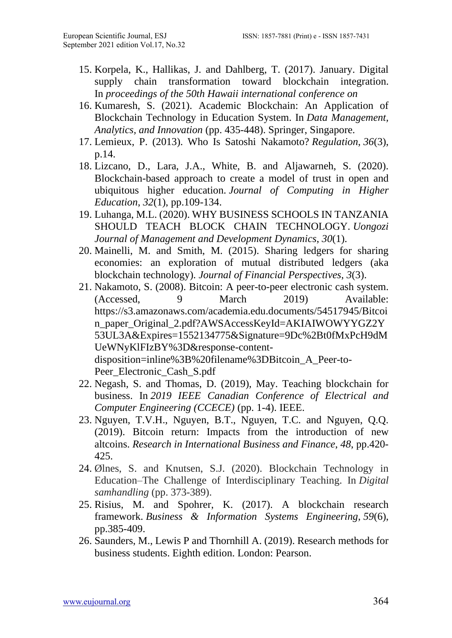- 15. Korpela, K., Hallikas, J. and Dahlberg, T. (2017). January. Digital supply chain transformation toward blockchain integration. In *proceedings of the 50th Hawaii international conference on*
- 16. Kumaresh, S. (2021). Academic Blockchain: An Application of Blockchain Technology in Education System. In *Data Management, Analytics, and Innovation* (pp. 435-448). Springer, Singapore.
- 17. Lemieux, P. (2013). Who Is Satoshi Nakamoto? *Regulation*, *36*(3), p.14.
- 18. Lizcano, D., Lara, J.A., White, B. and Aljawarneh, S. (2020). Blockchain-based approach to create a model of trust in open and ubiquitous higher education. *Journal of Computing in Higher Education*, *32*(1), pp.109-134.
- 19. Luhanga, M.L. (2020). WHY BUSINESS SCHOOLS IN TANZANIA SHOULD TEACH BLOCK CHAIN TECHNOLOGY. *Uongozi Journal of Management and Development Dynamics*, *30*(1).
- 20. Mainelli, M. and Smith, M. (2015). Sharing ledgers for sharing economies: an exploration of mutual distributed ledgers (aka blockchain technology). *Journal of Financial Perspectives*, *3*(3).
- 21. Nakamoto, S. (2008). Bitcoin: A peer-to-peer electronic cash system. (Accessed, 9 March 2019) Available: [https://s3.amazonaws.com/academia.edu.documents/54517945/Bitcoi](https://s3.amazonaws.com/academia.edu.documents/54517945/Bitcoin_paper_Original_2.pdf?AWSAccessKeyId=AKIAIWOWYYGZ2Y53UL3A&Expires=1552134775&Signature=9Dc%2Bt0fMxPcH9dMUeWNyKlFIzBY%3D&response-content-disposition=inline%3B%20filename%3DBitcoin_A_Peer-to-Peer_Electronic_Cash_S.pdf) [n\\_paper\\_Original\\_2.pdf?AWSAccessKeyId=AKIAIWOWYYGZ2Y](https://s3.amazonaws.com/academia.edu.documents/54517945/Bitcoin_paper_Original_2.pdf?AWSAccessKeyId=AKIAIWOWYYGZ2Y53UL3A&Expires=1552134775&Signature=9Dc%2Bt0fMxPcH9dMUeWNyKlFIzBY%3D&response-content-disposition=inline%3B%20filename%3DBitcoin_A_Peer-to-Peer_Electronic_Cash_S.pdf) [53UL3A&Expires=1552134775&Signature=9Dc%2Bt0fMxPcH9dM](https://s3.amazonaws.com/academia.edu.documents/54517945/Bitcoin_paper_Original_2.pdf?AWSAccessKeyId=AKIAIWOWYYGZ2Y53UL3A&Expires=1552134775&Signature=9Dc%2Bt0fMxPcH9dMUeWNyKlFIzBY%3D&response-content-disposition=inline%3B%20filename%3DBitcoin_A_Peer-to-Peer_Electronic_Cash_S.pdf) [UeWNyKlFIzBY%3D&response-content](https://s3.amazonaws.com/academia.edu.documents/54517945/Bitcoin_paper_Original_2.pdf?AWSAccessKeyId=AKIAIWOWYYGZ2Y53UL3A&Expires=1552134775&Signature=9Dc%2Bt0fMxPcH9dMUeWNyKlFIzBY%3D&response-content-disposition=inline%3B%20filename%3DBitcoin_A_Peer-to-Peer_Electronic_Cash_S.pdf)[disposition=inline%3B%20filename%3DBitcoin\\_A\\_Peer-to-](https://s3.amazonaws.com/academia.edu.documents/54517945/Bitcoin_paper_Original_2.pdf?AWSAccessKeyId=AKIAIWOWYYGZ2Y53UL3A&Expires=1552134775&Signature=9Dc%2Bt0fMxPcH9dMUeWNyKlFIzBY%3D&response-content-disposition=inline%3B%20filename%3DBitcoin_A_Peer-to-Peer_Electronic_Cash_S.pdf)[Peer\\_Electronic\\_Cash\\_S.pdf](https://s3.amazonaws.com/academia.edu.documents/54517945/Bitcoin_paper_Original_2.pdf?AWSAccessKeyId=AKIAIWOWYYGZ2Y53UL3A&Expires=1552134775&Signature=9Dc%2Bt0fMxPcH9dMUeWNyKlFIzBY%3D&response-content-disposition=inline%3B%20filename%3DBitcoin_A_Peer-to-Peer_Electronic_Cash_S.pdf)
- 22. Negash, S. and Thomas, D. (2019), May. Teaching blockchain for business. In *2019 IEEE Canadian Conference of Electrical and Computer Engineering (CCECE)* (pp. 1-4). IEEE.
- 23. Nguyen, T.V.H., Nguyen, B.T., Nguyen, T.C. and Nguyen, Q.Q. (2019). Bitcoin return: Impacts from the introduction of new altcoins. *Research in International Business and Finance*, *48*, pp.420- 425.
- 24. Ølnes, S. and Knutsen, S.J. (2020). Blockchain Technology in Education–The Challenge of Interdisciplinary Teaching. In *Digital samhandling* (pp. 373-389).
- 25. Risius, M. and Spohrer, K. (2017). A blockchain research framework. *Business & Information Systems Engineering*, *59*(6), pp.385-409.
- 26. Saunders, M., Lewis P and Thornhill A. (2019). Research methods for business students. Eighth edition. London: Pearson.